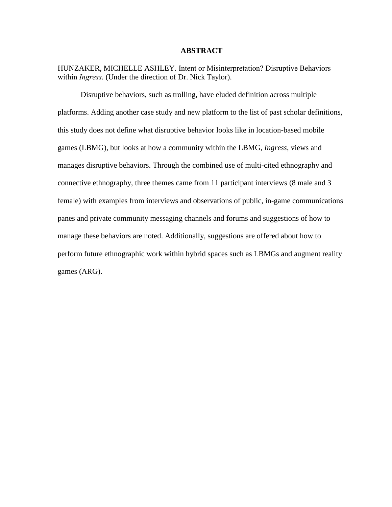### **ABSTRACT**

HUNZAKER, MICHELLE ASHLEY. Intent or Misinterpretation? Disruptive Behaviors within *Ingress*. (Under the direction of Dr. Nick Taylor).

Disruptive behaviors, such as trolling, have eluded definition across multiple platforms. Adding another case study and new platform to the list of past scholar definitions, this study does not define what disruptive behavior looks like in location-based mobile games (LBMG), but looks at how a community within the LBMG, *Ingress*, views and manages disruptive behaviors. Through the combined use of multi-cited ethnography and connective ethnography, three themes came from 11 participant interviews (8 male and 3 female) with examples from interviews and observations of public, in-game communications panes and private community messaging channels and forums and suggestions of how to manage these behaviors are noted. Additionally, suggestions are offered about how to perform future ethnographic work within hybrid spaces such as LBMGs and augment reality games (ARG).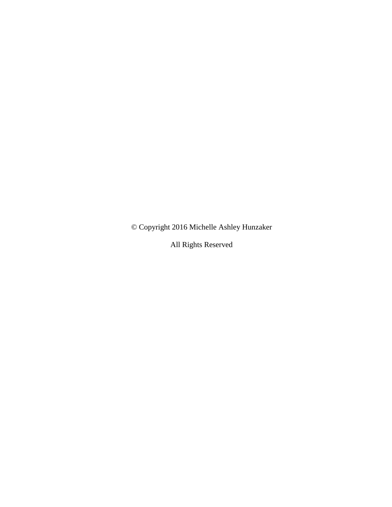© Copyright 2016 Michelle Ashley Hunzaker

All Rights Reserved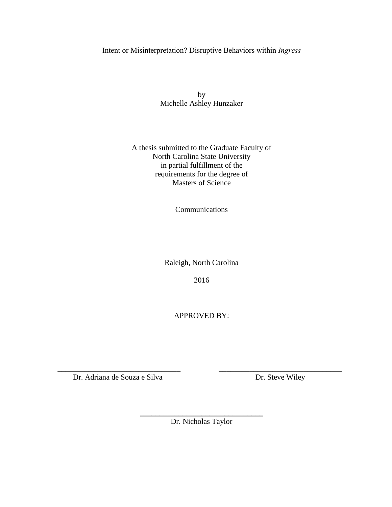# Intent or Misinterpretation? Disruptive Behaviors within *Ingress*

by Michelle Ashley Hunzaker

# A thesis submitted to the Graduate Faculty of North Carolina State University in partial fulfillment of the requirements for the degree of Masters of Science

Communications

Raleigh, North Carolina

2016

APPROVED BY:

Dr. Adriana de Souza e Silva Dr. Steve Wiley

\_\_\_\_\_\_\_\_\_\_\_\_\_\_\_\_\_\_\_\_\_\_\_\_\_\_\_\_\_\_\_\_ Dr. Nicholas Taylor

\_\_\_\_\_\_\_\_\_\_\_\_\_\_\_\_\_\_\_\_\_\_\_\_\_\_\_\_\_\_\_\_ \_\_\_\_\_\_\_\_\_\_\_\_\_\_\_\_\_\_\_\_\_\_\_\_\_\_\_\_\_\_\_\_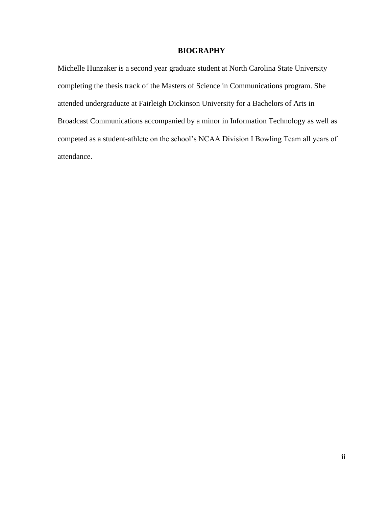# **BIOGRAPHY**

Michelle Hunzaker is a second year graduate student at North Carolina State University completing the thesis track of the Masters of Science in Communications program. She attended undergraduate at Fairleigh Dickinson University for a Bachelors of Arts in Broadcast Communications accompanied by a minor in Information Technology as well as competed as a student-athlete on the school's NCAA Division I Bowling Team all years of attendance.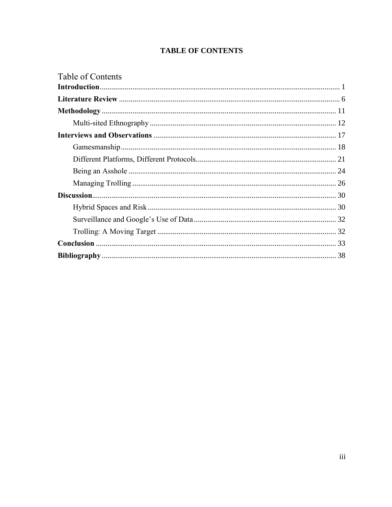# **TABLE OF CONTENTS**

| Table of Contents |  |
|-------------------|--|
|                   |  |
|                   |  |
|                   |  |
|                   |  |
|                   |  |
|                   |  |
|                   |  |
|                   |  |
|                   |  |
|                   |  |
|                   |  |
|                   |  |
|                   |  |
|                   |  |
|                   |  |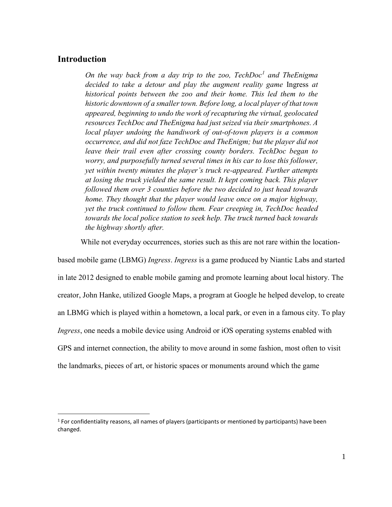# <span id="page-5-0"></span>**Introduction**

 $\overline{a}$ 

*On the way back from a day trip to the zoo, TechDoc<sup>1</sup> and TheEnigma decided to take a detour and play the augment reality game* Ingress *at historical points between the zoo and their home. This led them to the historic downtown of a smaller town. Before long, a local player of that town appeared, beginning to undo the work of recapturing the virtual, geolocated resources TechDoc and TheEnigma had just seized via their smartphones. A local player undoing the handiwork of out-of-town players is a common occurrence, and did not faze TechDoc and TheEnigm; but the player did not leave their trail even after crossing county borders. TechDoc began to worry, and purposefully turned several times in his car to lose this follower, yet within twenty minutes the player's truck re-appeared. Further attempts at losing the truck yielded the same result. It kept coming back. This player followed them over 3 counties before the two decided to just head towards home. They thought that the player would leave once on a major highway, yet the truck continued to follow them. Fear creeping in, TechDoc headed towards the local police station to seek help. The truck turned back towards the highway shortly after.*

While not everyday occurrences, stories such as this are not rare within the location-

based mobile game (LBMG) *Ingress*. *Ingress* is a game produced by Niantic Labs and started in late 2012 designed to enable mobile gaming and promote learning about local history. The creator, John Hanke, utilized Google Maps, a program at Google he helped develop, to create an LBMG which is played within a hometown, a local park, or even in a famous city. To play *Ingress*, one needs a mobile device using Android or iOS operating systems enabled with GPS and internet connection, the ability to move around in some fashion, most often to visit the landmarks, pieces of art, or historic spaces or monuments around which the game

<sup>&</sup>lt;sup>1</sup> For confidentiality reasons, all names of players (participants or mentioned by participants) have been changed.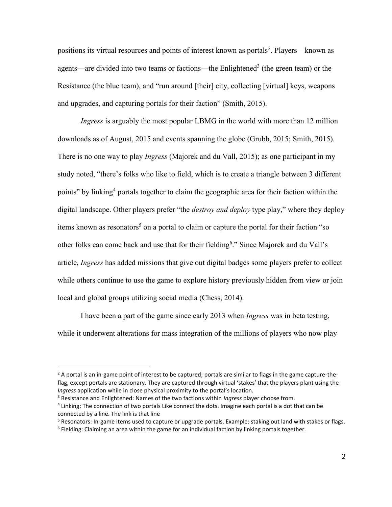positions its virtual resources and points of interest known as portals<sup>2</sup>. Players—known as agents—are divided into two teams or factions—the Enlightened<sup>3</sup> (the green team) or the Resistance (the blue team), and "run around [their] city, collecting [virtual] keys, weapons and upgrades, and capturing portals for their faction" (Smith, 2015).

*Ingress* is arguably the most popular LBMG in the world with more than 12 million downloads as of August, 2015 and events spanning the globe (Grubb, 2015; Smith, 2015). There is no one way to play *Ingress* (Majorek and du Vall, 2015); as one participant in my study noted, "there's folks who like to field, which is to create a triangle between 3 different points" by linking<sup>4</sup> portals together to claim the geographic area for their faction within the digital landscape. Other players prefer "the *destroy and deploy* type play," where they deploy items known as resonators<sup>5</sup> on a portal to claim or capture the portal for their faction "so other folks can come back and use that for their fielding<sup>6</sup>." Since Majorek and du Vall's article, *Ingress* has added missions that give out digital badges some players prefer to collect while others continue to use the game to explore history previously hidden from view or join local and global groups utilizing social media (Chess, 2014).

I have been a part of the game since early 2013 when *Ingress* was in beta testing, while it underwent alterations for mass integration of the millions of players who now play

 $\overline{a}$ 

 $2$  A portal is an in-game point of interest to be captured; portals are similar to flags in the game capture-theflag, except portals are stationary. They are captured through virtual 'stakes' that the players plant using the *Ingress* application while in close physical proximity to the portal's location.

<sup>3</sup> Resistance and Enlightened: Names of the two factions within *Ingress* player choose from.

<sup>&</sup>lt;sup>4</sup> Linking: The connection of two portals Like connect the dots. Imagine each portal is a dot that can be connected by a line. The link is that line

<sup>&</sup>lt;sup>5</sup> Resonators: In-game items used to capture or upgrade portals. Example: staking out land with stakes or flags.

<sup>&</sup>lt;sup>6</sup> Fielding: Claiming an area within the game for an individual faction by linking portals together.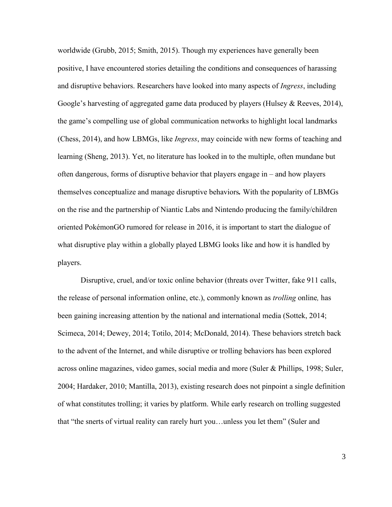worldwide (Grubb, 2015; Smith, 2015). Though my experiences have generally been positive, I have encountered stories detailing the conditions and consequences of harassing and disruptive behaviors. Researchers have looked into many aspects of *Ingress*, including Google's harvesting of aggregated game data produced by players (Hulsey & Reeves, 2014), the game's compelling use of global communication networks to highlight local landmarks (Chess, 2014), and how LBMGs, like *Ingress*, may coincide with new forms of teaching and learning (Sheng, 2013). Yet, no literature has looked in to the multiple, often mundane but often dangerous, forms of disruptive behavior that players engage in – and how players themselves conceptualize and manage disruptive behaviors*.* With the popularity of LBMGs on the rise and the partnership of Niantic Labs and Nintendo producing the family/children oriented PokémonGO rumored for release in 2016, it is important to start the dialogue of what disruptive play within a globally played LBMG looks like and how it is handled by players.

Disruptive, cruel, and/or toxic online behavior (threats over Twitter, fake 911 calls, the release of personal information online, etc.), commonly known as *trolling* online*,* has been gaining increasing attention by the national and international media (Sottek, 2014; Scimeca, 2014; Dewey, 2014; Totilo, 2014; McDonald, 2014). These behaviors stretch back to the advent of the Internet, and while disruptive or trolling behaviors has been explored across online magazines, video games, social media and more (Suler & Phillips, 1998; Suler, 2004; Hardaker, 2010; Mantilla, 2013), existing research does not pinpoint a single definition of what constitutes trolling; it varies by platform. While early research on trolling suggested that "the snerts of virtual reality can rarely hurt you…unless you let them" (Suler and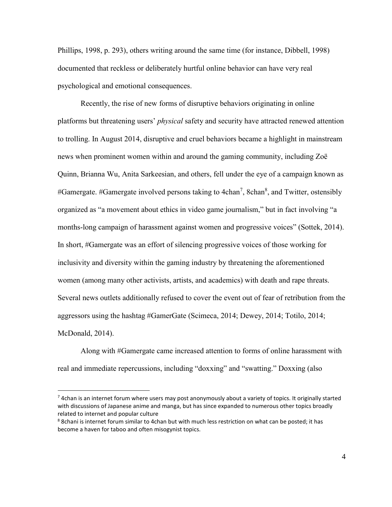Phillips, 1998, p. 293), others writing around the same time (for instance, Dibbell, 1998) documented that reckless or deliberately hurtful online behavior can have very real psychological and emotional consequences.

Recently, the rise of new forms of disruptive behaviors originating in online platforms but threatening users' *physical* safety and security have attracted renewed attention to trolling. In August 2014, disruptive and cruel behaviors became a highlight in mainstream news when prominent women within and around the gaming community, including Zoë Quinn, Brianna Wu, Anita Sarkeesian, and others, fell under the eye of a campaign known as #Gamergate. #Gamergate involved persons taking to 4chan<sup>7</sup>, 8chan<sup>8</sup>, and Twitter, ostensibly organized as "a movement about ethics in video game journalism," but in fact involving "a months-long campaign of harassment against women and progressive voices" (Sottek, 2014). In short, #Gamergate was an effort of silencing progressive voices of those working for inclusivity and diversity within the gaming industry by threatening the aforementioned women (among many other activists, artists, and academics) with death and rape threats. Several news outlets additionally refused to cover the event out of fear of retribution from the aggressors using the hashtag #GamerGate (Scimeca, 2014; Dewey, 2014; Totilo, 2014; McDonald, 2014).

Along with #Gamergate came increased attention to forms of online harassment with real and immediate repercussions, including "doxxing" and "swatting." Doxxing (also

 $\overline{a}$ 

<sup>&</sup>lt;sup>7</sup> 4chan is an internet forum where users may post anonymously about a variety of topics. It originally started with discussions of Japanese anime and manga, but has since expanded to numerous other topics broadly related to internet and popular culture

<sup>&</sup>lt;sup>8</sup> 8chani is internet forum similar to 4chan but with much less restriction on what can be posted; it has become a haven for taboo and often misogynist topics.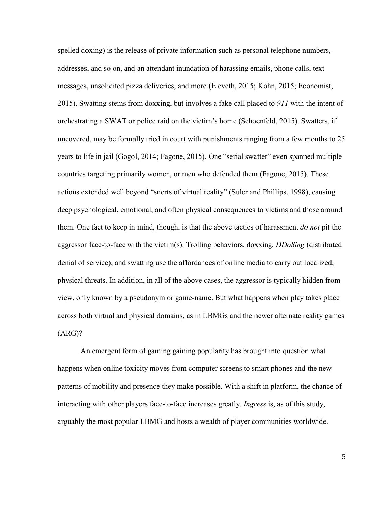spelled doxing) is the release of private information such as personal telephone numbers, addresses, and so on, and an attendant inundation of harassing emails, phone calls, text messages, unsolicited pizza deliveries, and more (Eleveth, 2015; Kohn, 2015; Economist, 2015). Swatting stems from doxxing, but involves a fake call placed to *911* with the intent of orchestrating a SWAT or police raid on the victim's home (Schoenfeld, 2015). Swatters, if uncovered, may be formally tried in court with punishments ranging from a few months to 25 years to life in jail (Gogol, 2014; Fagone, 2015). One "serial swatter" even spanned multiple countries targeting primarily women, or men who defended them (Fagone, 2015). These actions extended well beyond "snerts of virtual reality" (Suler and Phillips, 1998), causing deep psychological, emotional, and often physical consequences to victims and those around them. One fact to keep in mind, though, is that the above tactics of harassment *do not* pit the aggressor face-to-face with the victim(s). Trolling behaviors, doxxing, *DDoSing* (distributed denial of service), and swatting use the affordances of online media to carry out localized, physical threats. In addition, in all of the above cases, the aggressor is typically hidden from view, only known by a pseudonym or game-name. But what happens when play takes place across both virtual and physical domains, as in LBMGs and the newer alternate reality games (ARG)?

An emergent form of gaming gaining popularity has brought into question what happens when online toxicity moves from computer screens to smart phones and the new patterns of mobility and presence they make possible. With a shift in platform, the chance of interacting with other players face-to-face increases greatly. *Ingress* is, as of this study, arguably the most popular LBMG and hosts a wealth of player communities worldwide.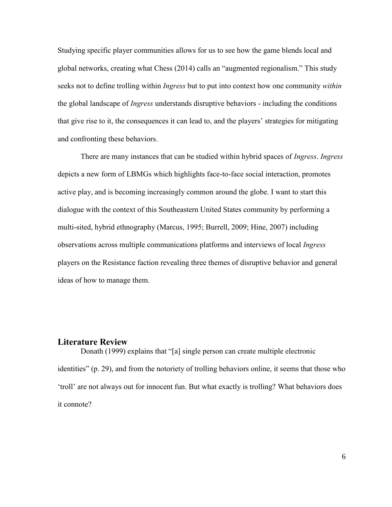Studying specific player communities allows for us to see how the game blends local and global networks, creating what Chess (2014) calls an "augmented regionalism." This study seeks not to define trolling within *Ingress* but to put into context how one community *within* the global landscape of *Ingress* understands disruptive behaviors - including the conditions that give rise to it, the consequences it can lead to, and the players' strategies for mitigating and confronting these behaviors.

There are many instances that can be studied within hybrid spaces of *Ingress*. *Ingress* depicts a new form of LBMGs which highlights face-to-face social interaction, promotes active play, and is becoming increasingly common around the globe. I want to start this dialogue with the context of this Southeastern United States community by performing a multi-sited, hybrid ethnography (Marcus, 1995; Burrell, 2009; Hine, 2007) including observations across multiple communications platforms and interviews of local *Ingress* players on the Resistance faction revealing three themes of disruptive behavior and general ideas of how to manage them.

### <span id="page-10-0"></span>**Literature Review**

Donath (1999) explains that "[a] single person can create multiple electronic identities" (p. 29), and from the notoriety of trolling behaviors online, it seems that those who 'troll' are not always out for innocent fun. But what exactly is trolling? What behaviors does it connote?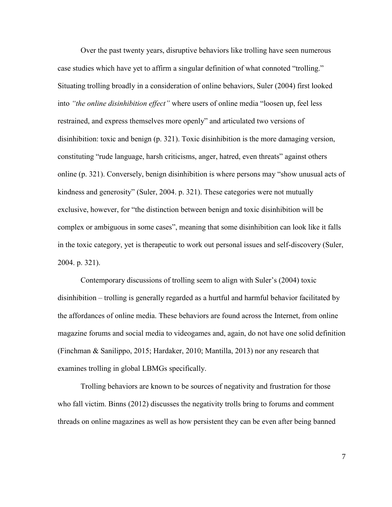Over the past twenty years, disruptive behaviors like trolling have seen numerous case studies which have yet to affirm a singular definition of what connoted "trolling." Situating trolling broadly in a consideration of online behaviors, Suler (2004) first looked into *"the online disinhibition effect"* where users of online media "loosen up, feel less restrained, and express themselves more openly" and articulated two versions of disinhibition: toxic and benign (p. 321). Toxic disinhibition is the more damaging version, constituting "rude language, harsh criticisms, anger, hatred, even threats" against others online (p. 321). Conversely, benign disinhibition is where persons may "show unusual acts of kindness and generosity" (Suler, 2004. p. 321). These categories were not mutually exclusive, however, for "the distinction between benign and toxic disinhibition will be complex or ambiguous in some cases", meaning that some disinhibition can look like it falls in the toxic category, yet is therapeutic to work out personal issues and self-discovery (Suler, 2004. p. 321).

Contemporary discussions of trolling seem to align with Suler's (2004) toxic disinhibition – trolling is generally regarded as a hurtful and harmful behavior facilitated by the affordances of online media. These behaviors are found across the Internet, from online magazine forums and social media to videogames and, again, do not have one solid definition (Finchman & Sanilippo, 2015; Hardaker, 2010; Mantilla, 2013) nor any research that examines trolling in global LBMGs specifically.

Trolling behaviors are known to be sources of negativity and frustration for those who fall victim. Binns (2012) discusses the negativity trolls bring to forums and comment threads on online magazines as well as how persistent they can be even after being banned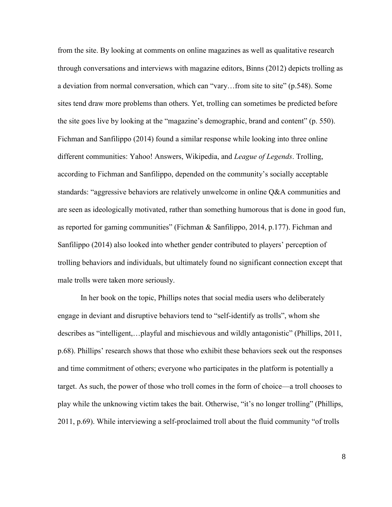from the site. By looking at comments on online magazines as well as qualitative research through conversations and interviews with magazine editors, Binns (2012) depicts trolling as a deviation from normal conversation, which can "vary…from site to site" (p.548). Some sites tend draw more problems than others. Yet, trolling can sometimes be predicted before the site goes live by looking at the "magazine's demographic, brand and content" (p. 550). Fichman and Sanfilippo (2014) found a similar response while looking into three online different communities: Yahoo! Answers, Wikipedia, and *League of Legends*. Trolling, according to Fichman and Sanfilippo, depended on the community's socially acceptable standards: "aggressive behaviors are relatively unwelcome in online Q&A communities and are seen as ideologically motivated, rather than something humorous that is done in good fun, as reported for gaming communities" (Fichman & Sanfilippo, 2014, p.177). Fichman and Sanfilippo (2014) also looked into whether gender contributed to players' perception of trolling behaviors and individuals, but ultimately found no significant connection except that male trolls were taken more seriously.

In her book on the topic, Phillips notes that social media users who deliberately engage in deviant and disruptive behaviors tend to "self-identify as trolls", whom she describes as "intelligent,…playful and mischievous and wildly antagonistic" (Phillips, 2011, p.68). Phillips' research shows that those who exhibit these behaviors seek out the responses and time commitment of others; everyone who participates in the platform is potentially a target. As such, the power of those who troll comes in the form of choice—a troll chooses to play while the unknowing victim takes the bait. Otherwise, "it's no longer trolling" (Phillips, 2011, p.69). While interviewing a self-proclaimed troll about the fluid community "of trolls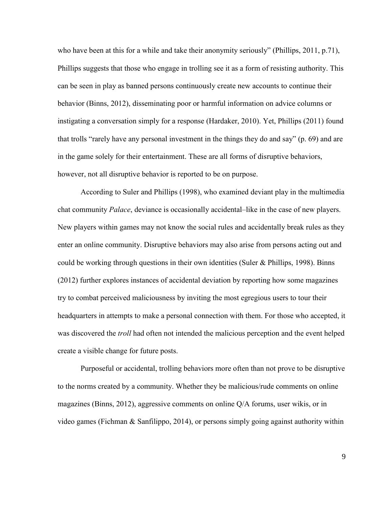who have been at this for a while and take their anonymity seriously" (Phillips, 2011, p.71), Phillips suggests that those who engage in trolling see it as a form of resisting authority. This can be seen in play as banned persons continuously create new accounts to continue their behavior (Binns, 2012), disseminating poor or harmful information on advice columns or instigating a conversation simply for a response (Hardaker, 2010). Yet, Phillips (2011) found that trolls "rarely have any personal investment in the things they do and say" (p. 69) and are in the game solely for their entertainment. These are all forms of disruptive behaviors, however, not all disruptive behavior is reported to be on purpose.

According to Suler and Phillips (1998), who examined deviant play in the multimedia chat community *Palace*, deviance is occasionally accidental–like in the case of new players. New players within games may not know the social rules and accidentally break rules as they enter an online community. Disruptive behaviors may also arise from persons acting out and could be working through questions in their own identities (Suler & Phillips, 1998). Binns (2012) further explores instances of accidental deviation by reporting how some magazines try to combat perceived maliciousness by inviting the most egregious users to tour their headquarters in attempts to make a personal connection with them. For those who accepted, it was discovered the *troll* had often not intended the malicious perception and the event helped create a visible change for future posts.

Purposeful or accidental, trolling behaviors more often than not prove to be disruptive to the norms created by a community. Whether they be malicious/rude comments on online magazines (Binns, 2012), aggressive comments on online Q/A forums, user wikis, or in video games (Fichman & Sanfilippo, 2014), or persons simply going against authority within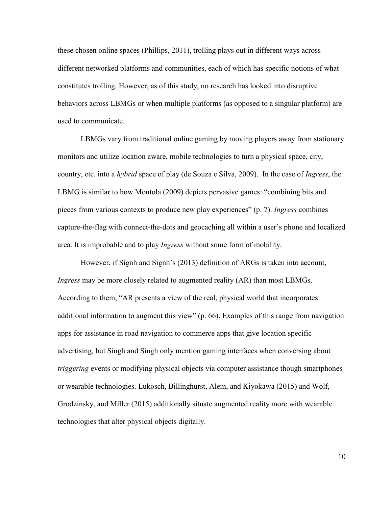these chosen online spaces (Phillips, 2011), trolling plays out in different ways across different networked platforms and communities, each of which has specific notions of what constitutes trolling. However, as of this study, no research has looked into disruptive behaviors across LBMGs or when multiple platforms (as opposed to a singular platform) are used to communicate.

LBMGs vary from traditional online gaming by moving players away from stationary monitors and utilize location aware, mobile technologies to turn a physical space, city, country, etc. into a *hybrid* space of play (de Souza e Silva, 2009). In the case of *Ingress*, the LBMG is similar to how Montola (2009) depicts pervasive games: "combining bits and pieces from various contexts to produce new play experiences" (p. 7). *Ingress* combines capture-the-flag with connect-the-dots and geocaching all within a user's phone and localized area. It is improbable and to play *Ingress* without some form of mobility.

However, if Signh and Signh's (2013) definition of ARGs is taken into account, *Ingress* may be more closely related to augmented reality (AR) than most LBMGs. According to them, "AR presents a view of the real, physical world that incorporates additional information to augment this view" (p. 66). Examples of this range from navigation apps for assistance in road navigation to commerce apps that give location specific advertising, but Singh and Singh only mention gaming interfaces when conversing about *triggering* events or modifying physical objects via computer assistance though smartphones or wearable technologies. Lukosch, Billinghurst, Alem, and Kiyokawa (2015) and Wolf, Grodzinsky, and Miller (2015) additionally situate augmented reality more with wearable technologies that alter physical objects digitally.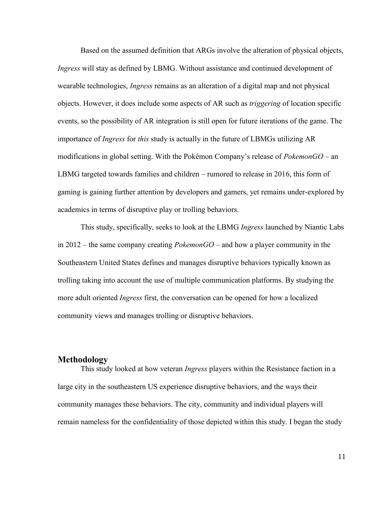Based on the assumed definition that ARGs involve the alteration of physical objects, *Ingress* will stay as defined by LBMG. Without assistance and continued development of wearable technologies, *Ingress* remains as an alteration of a digital map and not physical objects. However, it does include some aspects of AR such as *triggering* of location specific events, so the possibility of AR integration is still open for future iterations of the game. The importance of *Ingress* for *this* study is actually in the future of LBMGs utilizing AR modifications in global setting. With the Pokémon Company's release of *PokemonGO* – an LBMG targeted towards families and children – rumored to release in 2016, this form of gaming is gaining further attention by developers and gamers, yet remains under-explored by academics in terms of disruptive play or trolling behaviors.

This study, specifically, seeks to look at the LBMG *Ingress* launched by Niantic Labs in 2012 – the same company creating *PokemonGO* – and how a player community in the Southeastern United States defines and manages disruptive behaviors typically known as trolling taking into account the use of multiple communication platforms. By studying the more adult oriented *Ingress* first, the conversation can be opened for how a localized community views and manages trolling or disruptive behaviors.

### <span id="page-15-0"></span>**Methodology**

This study looked at how veteran *Ingress* players within the Resistance faction in a large city in the southeastern US experience disruptive behaviors, and the ways their community manages these behaviors. The city, community and individual players will remain nameless for the confidentiality of those depicted within this study. I began the study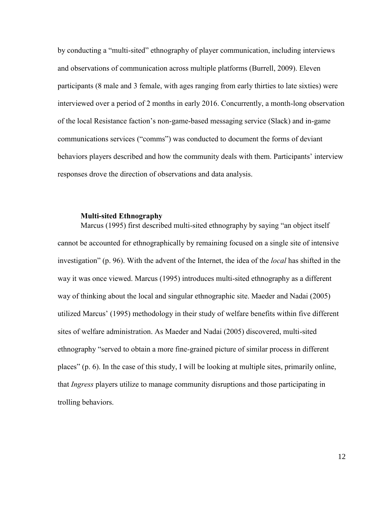by conducting a "multi-sited" ethnography of player communication, including interviews and observations of communication across multiple platforms (Burrell, 2009). Eleven participants (8 male and 3 female, with ages ranging from early thirties to late sixties) were interviewed over a period of 2 months in early 2016. Concurrently, a month-long observation of the local Resistance faction's non-game-based messaging service (Slack) and in-game communications services ("comms") was conducted to document the forms of deviant behaviors players described and how the community deals with them. Participants' interview responses drove the direction of observations and data analysis.

### **Multi-sited Ethnography**

<span id="page-16-0"></span>Marcus (1995) first described multi-sited ethnography by saying "an object itself cannot be accounted for ethnographically by remaining focused on a single site of intensive investigation" (p. 96). With the advent of the Internet, the idea of the *local* has shifted in the way it was once viewed. Marcus (1995) introduces multi-sited ethnography as a different way of thinking about the local and singular ethnographic site. Maeder and Nadai (2005) utilized Marcus' (1995) methodology in their study of welfare benefits within five different sites of welfare administration. As Maeder and Nadai (2005) discovered, multi-sited ethnography "served to obtain a more fine-grained picture of similar process in different places" (p. 6). In the case of this study, I will be looking at multiple sites, primarily online, that *Ingress* players utilize to manage community disruptions and those participating in trolling behaviors.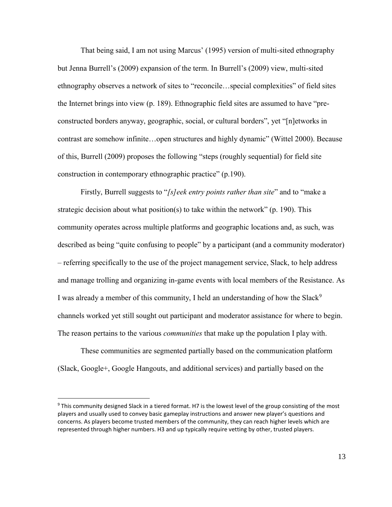That being said, I am not using Marcus' (1995) version of multi-sited ethnography but Jenna Burrell's (2009) expansion of the term. In Burrell's (2009) view, multi-sited ethnography observes a network of sites to "reconcile…special complexities" of field sites the Internet brings into view (p. 189). Ethnographic field sites are assumed to have "preconstructed borders anyway, geographic, social, or cultural borders", yet "[n]etworks in contrast are somehow infinite…open structures and highly dynamic" (Wittel 2000). Because of this, Burrell (2009) proposes the following "steps (roughly sequential) for field site construction in contemporary ethnographic practice" (p.190).

Firstly, Burrell suggests to "*[s]eek entry points rather than site*" and to "make a strategic decision about what position(s) to take within the network" (p. 190). This community operates across multiple platforms and geographic locations and, as such, was described as being "quite confusing to people" by a participant (and a community moderator) – referring specifically to the use of the project management service, Slack, to help address and manage trolling and organizing in-game events with local members of the Resistance. As I was already a member of this community, I held an understanding of how the Slack<sup>9</sup> channels worked yet still sought out participant and moderator assistance for where to begin. The reason pertains to the various *communities* that make up the population I play with.

These communities are segmented partially based on the communication platform (Slack, Google+, Google Hangouts, and additional services) and partially based on the

 $\overline{a}$ 

<sup>&</sup>lt;sup>9</sup> This community designed Slack in a tiered format. H7 is the lowest level of the group consisting of the most players and usually used to convey basic gameplay instructions and answer new player's questions and concerns. As players become trusted members of the community, they can reach higher levels which are represented through higher numbers. H3 and up typically require vetting by other, trusted players.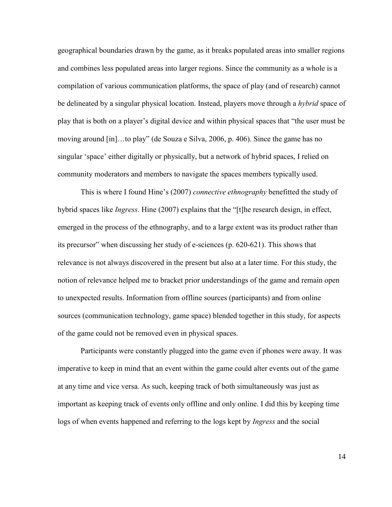geographical boundaries drawn by the game, as it breaks populated areas into smaller regions and combines less populated areas into larger regions. Since the community as a whole is a compilation of various communication platforms, the space of play (and of research) cannot be delineated by a singular physical location. Instead, players move through a *hybrid* space of play that is both on a player's digital device and within physical spaces that "the user must be moving around [in]…to play" (de Souza e Silva, 2006, p. 406). Since the game has no singular 'space' either digitally or physically, but a network of hybrid spaces, I relied on community moderators and members to navigate the spaces members typically used.

This is where I found Hine's (2007) *connective ethnography* benefitted the study of hybrid spaces like *Ingress*. Hine (2007) explains that the "[t]he research design, in effect, emerged in the process of the ethnography, and to a large extent was its product rather than its precursor" when discussing her study of e-sciences (p. 620-621). This shows that relevance is not always discovered in the present but also at a later time. For this study, the notion of relevance helped me to bracket prior understandings of the game and remain open to unexpected results. Information from offline sources (participants) and from online sources (communication technology, game space) blended together in this study, for aspects of the game could not be removed even in physical spaces.

Participants were constantly plugged into the game even if phones were away. It was imperative to keep in mind that an event within the game could alter events out of the game at any time and vice versa. As such, keeping track of both simultaneously was just as important as keeping track of events only offline and only online. I did this by keeping time logs of when events happened and referring to the logs kept by *Ingress* and the social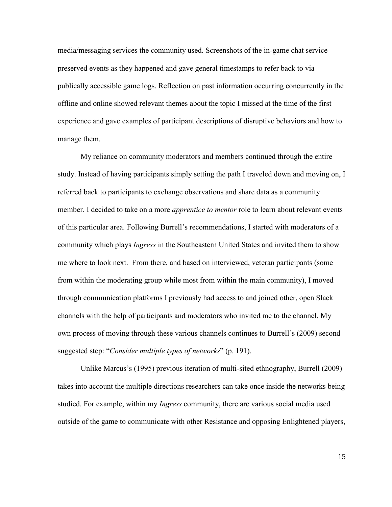media/messaging services the community used. Screenshots of the in-game chat service preserved events as they happened and gave general timestamps to refer back to via publically accessible game logs. Reflection on past information occurring concurrently in the offline and online showed relevant themes about the topic I missed at the time of the first experience and gave examples of participant descriptions of disruptive behaviors and how to manage them.

My reliance on community moderators and members continued through the entire study. Instead of having participants simply setting the path I traveled down and moving on, I referred back to participants to exchange observations and share data as a community member. I decided to take on a more *apprentice to mentor* role to learn about relevant events of this particular area. Following Burrell's recommendations, I started with moderators of a community which plays *Ingress* in the Southeastern United States and invited them to show me where to look next. From there, and based on interviewed, veteran participants (some from within the moderating group while most from within the main community), I moved through communication platforms I previously had access to and joined other, open Slack channels with the help of participants and moderators who invited me to the channel. My own process of moving through these various channels continues to Burrell's (2009) second suggested step: "*Consider multiple types of networks*" (p. 191).

Unlike Marcus's (1995) previous iteration of multi-sited ethnography, Burrell (2009) takes into account the multiple directions researchers can take once inside the networks being studied. For example, within my *Ingress* community, there are various social media used outside of the game to communicate with other Resistance and opposing Enlightened players,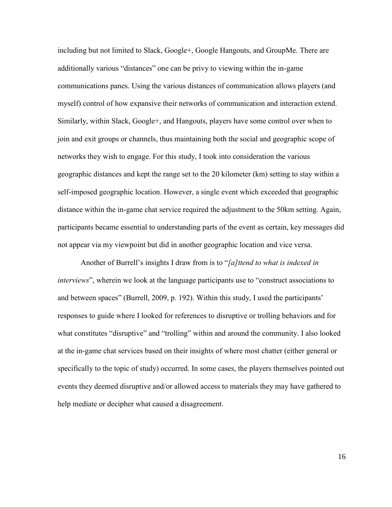including but not limited to Slack, Google+, Google Hangouts, and GroupMe. There are additionally various "distances" one can be privy to viewing within the in-game communications panes. Using the various distances of communication allows players (and myself) control of how expansive their networks of communication and interaction extend. Similarly, within Slack, Google+, and Hangouts, players have some control over when to join and exit groups or channels, thus maintaining both the social and geographic scope of networks they wish to engage. For this study, I took into consideration the various geographic distances and kept the range set to the 20 kilometer (km) setting to stay within a self-imposed geographic location. However, a single event which exceeded that geographic distance within the in-game chat service required the adjustment to the 50km setting. Again, participants became essential to understanding parts of the event as certain, key messages did not appear via my viewpoint but did in another geographic location and vice versa.

Another of Burrell's insights I draw from is to "*[a]ttend to what is indexed in interviews*", wherein we look at the language participants use to "construct associations to and between spaces" (Burrell, 2009, p. 192). Within this study, I used the participants' responses to guide where I looked for references to disruptive or trolling behaviors and for what constitutes "disruptive" and "trolling" within and around the community. I also looked at the in-game chat services based on their insights of where most chatter (either general or specifically to the topic of study) occurred. In some cases, the players themselves pointed out events they deemed disruptive and/or allowed access to materials they may have gathered to help mediate or decipher what caused a disagreement.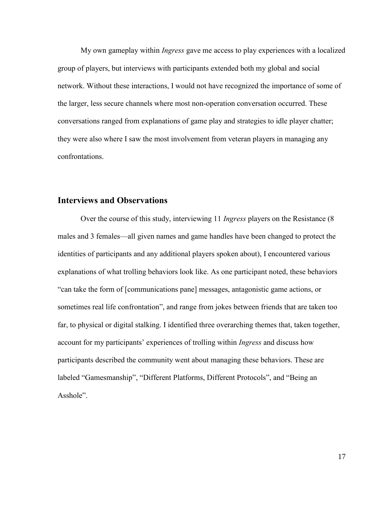My own gameplay within *Ingress* gave me access to play experiences with a localized group of players, but interviews with participants extended both my global and social network. Without these interactions, I would not have recognized the importance of some of the larger, less secure channels where most non-operation conversation occurred. These conversations ranged from explanations of game play and strategies to idle player chatter; they were also where I saw the most involvement from veteran players in managing any confrontations.

# <span id="page-21-0"></span>**Interviews and Observations**

Over the course of this study, interviewing 11 *Ingress* players on the Resistance (8 males and 3 females—all given names and game handles have been changed to protect the identities of participants and any additional players spoken about), I encountered various explanations of what trolling behaviors look like. As one participant noted, these behaviors "can take the form of [communications pane] messages, antagonistic game actions, or sometimes real life confrontation", and range from jokes between friends that are taken too far, to physical or digital stalking. I identified three overarching themes that, taken together, account for my participants' experiences of trolling within *Ingress* and discuss how participants described the community went about managing these behaviors. These are labeled "Gamesmanship", "Different Platforms, Different Protocols", and "Being an Asshole".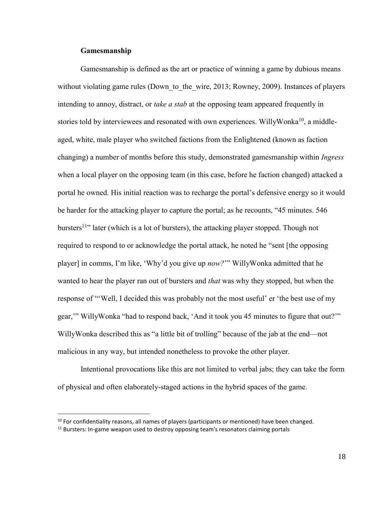### **Gamesmanship**

 $\overline{a}$ 

<span id="page-22-0"></span>Gamesmanship is defined as the art or practice of winning a game by dubious means without violating game rules (Down to the wire, 2013; Rowney, 2009). Instances of players intending to annoy, distract, or *take a stab* at the opposing team appeared frequently in stories told by interviewees and resonated with own experiences. WillyWonka<sup>10</sup>, a middleaged, white, male player who switched factions from the Enlightened (known as faction changing) a number of months before this study, demonstrated gamesmanship within *Ingress* when a local player on the opposing team (in this case, before he faction changed) attacked a portal he owned. His initial reaction was to recharge the portal's defensive energy so it would be harder for the attacking player to capture the portal; as he recounts, "45 minutes. 546 bursters<sup>11</sup><sup>"</sup> later (which is a lot of bursters), the attacking player stopped. Though not required to respond to or acknowledge the portal attack, he noted he "sent [the opposing player] in comms, I'm like, 'Why'd you give up *now?*'" WillyWonka admitted that he wanted to hear the player ran out of bursters and *that* was why they stopped, but when the response of "'Well, I decided this was probably not the most useful' er 'the best use of my gear,'" WillyWonka "had to respond back, 'And it took you 45 minutes to figure that out?'" WillyWonka described this as "a little bit of trolling" because of the jab at the end—not malicious in any way, but intended nonetheless to provoke the other player.

Intentional provocations like this are not limited to verbal jabs; they can take the form of physical and often elaborately-staged actions in the hybrid spaces of the game.

 $10$  For confidentiality reasons, all names of players (participants or mentioned) have been changed.  $11$  Bursters: In-game weapon used to destroy opposing team's resonators claiming portals

<sup>18</sup>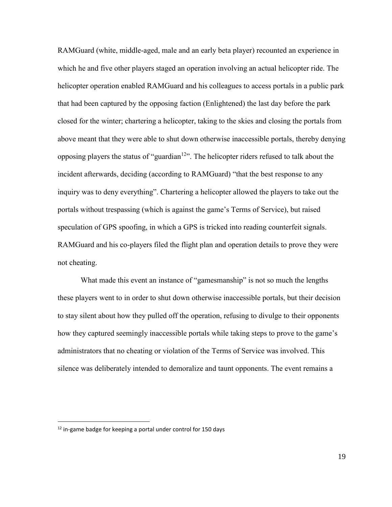RAMGuard (white, middle-aged, male and an early beta player) recounted an experience in which he and five other players staged an operation involving an actual helicopter ride. The helicopter operation enabled RAMGuard and his colleagues to access portals in a public park that had been captured by the opposing faction (Enlightened) the last day before the park closed for the winter; chartering a helicopter, taking to the skies and closing the portals from above meant that they were able to shut down otherwise inaccessible portals, thereby denying opposing players the status of "guardian<sup>12</sup>". The helicopter riders refused to talk about the incident afterwards, deciding (according to RAMGuard) "that the best response to any inquiry was to deny everything". Chartering a helicopter allowed the players to take out the portals without trespassing (which is against the game's Terms of Service), but raised speculation of GPS spoofing, in which a GPS is tricked into reading counterfeit signals. RAMGuard and his co-players filed the flight plan and operation details to prove they were not cheating.

What made this event an instance of "gamesmanship" is not so much the lengths these players went to in order to shut down otherwise inaccessible portals, but their decision to stay silent about how they pulled off the operation, refusing to divulge to their opponents how they captured seemingly inaccessible portals while taking steps to prove to the game's administrators that no cheating or violation of the Terms of Service was involved. This silence was deliberately intended to demoralize and taunt opponents. The event remains a

 $\overline{a}$ 

 $12$  in-game badge for keeping a portal under control for 150 days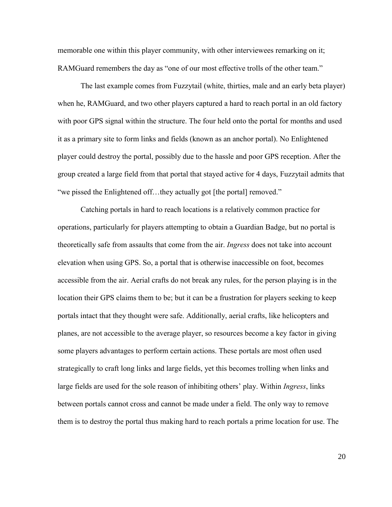memorable one within this player community, with other interviewees remarking on it; RAMGuard remembers the day as "one of our most effective trolls of the other team."

The last example comes from Fuzzytail (white, thirties, male and an early beta player) when he, RAMGuard, and two other players captured a hard to reach portal in an old factory with poor GPS signal within the structure. The four held onto the portal for months and used it as a primary site to form links and fields (known as an anchor portal). No Enlightened player could destroy the portal, possibly due to the hassle and poor GPS reception. After the group created a large field from that portal that stayed active for 4 days, Fuzzytail admits that "we pissed the Enlightened off…they actually got [the portal] removed."

Catching portals in hard to reach locations is a relatively common practice for operations, particularly for players attempting to obtain a Guardian Badge, but no portal is theoretically safe from assaults that come from the air. *Ingress* does not take into account elevation when using GPS. So, a portal that is otherwise inaccessible on foot, becomes accessible from the air. Aerial crafts do not break any rules, for the person playing is in the location their GPS claims them to be; but it can be a frustration for players seeking to keep portals intact that they thought were safe. Additionally, aerial crafts, like helicopters and planes, are not accessible to the average player, so resources become a key factor in giving some players advantages to perform certain actions. These portals are most often used strategically to craft long links and large fields, yet this becomes trolling when links and large fields are used for the sole reason of inhibiting others' play. Within *Ingress*, links between portals cannot cross and cannot be made under a field. The only way to remove them is to destroy the portal thus making hard to reach portals a prime location for use. The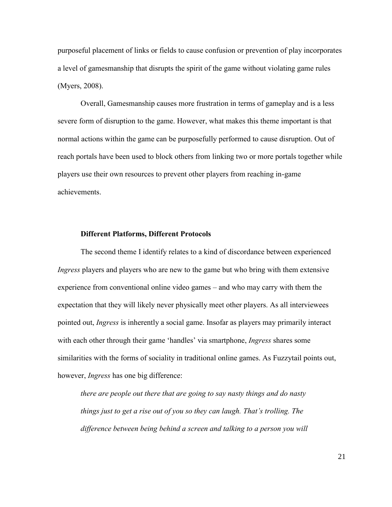purposeful placement of links or fields to cause confusion or prevention of play incorporates a level of gamesmanship that disrupts the spirit of the game without violating game rules (Myers, 2008).

Overall, Gamesmanship causes more frustration in terms of gameplay and is a less severe form of disruption to the game. However, what makes this theme important is that normal actions within the game can be purposefully performed to cause disruption. Out of reach portals have been used to block others from linking two or more portals together while players use their own resources to prevent other players from reaching in-game achievements.

### <span id="page-25-0"></span>**Different Platforms, Different Protocols**

The second theme I identify relates to a kind of discordance between experienced *Ingress* players and players who are new to the game but who bring with them extensive experience from conventional online video games – and who may carry with them the expectation that they will likely never physically meet other players. As all interviewees pointed out, *Ingress* is inherently a social game. Insofar as players may primarily interact with each other through their game 'handles' via smartphone, *Ingress* shares some similarities with the forms of sociality in traditional online games. As Fuzzytail points out, however, *Ingress* has one big difference:

*there are people out there that are going to say nasty things and do nasty things just to get a rise out of you so they can laugh. That's trolling. The difference between being behind a screen and talking to a person you will*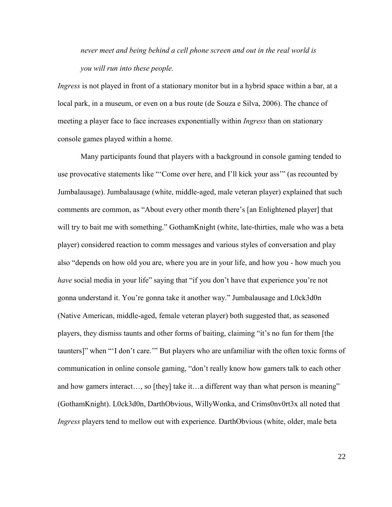*never meet and being behind a cell phone screen and out in the real world is you will run into these people.*

*Ingress* is not played in front of a stationary monitor but in a hybrid space within a bar, at a local park, in a museum, or even on a bus route (de Souza e Silva, 2006). The chance of meeting a player face to face increases exponentially within *Ingress* than on stationary console games played within a home.

Many participants found that players with a background in console gaming tended to use provocative statements like "'Come over here, and I'll kick your ass'" (as recounted by Jumbalausage). Jumbalausage (white, middle-aged, male veteran player) explained that such comments are common, as "About every other month there's [an Enlightened player] that will try to bait me with something." GothamKnight (white, late-thirties, male who was a beta player) considered reaction to comm messages and various styles of conversation and play also "depends on how old you are, where you are in your life, and how you - how much you *have* social media in your life" saying that "if you don't have that experience you're not gonna understand it. You're gonna take it another way." Jumbalausage and L0ck3d0n (Native American, middle-aged, female veteran player) both suggested that, as seasoned players, they dismiss taunts and other forms of baiting, claiming "it's no fun for them [the taunters]" when "'I don't care.'" But players who are unfamiliar with the often toxic forms of communication in online console gaming, "don't really know how gamers talk to each other and how gamers interact…, so [they] take it…a different way than what person is meaning" (GothamKnight). L0ck3d0n, DarthObvious, WillyWonka, and Crims0nv0rt3x all noted that *Ingress* players tend to mellow out with experience. DarthObvious (white, older, male beta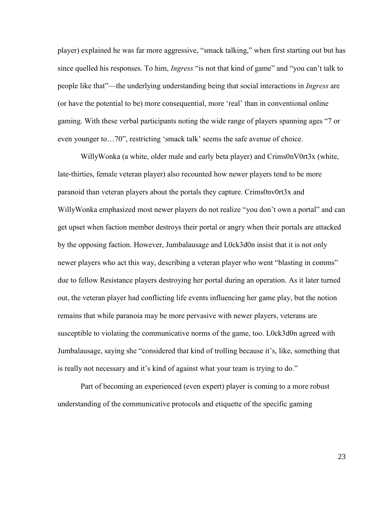player) explained he was far more aggressive, "smack talking," when first starting out but has since quelled his responses. To him, *Ingress* "is not that kind of game" and "you can't talk to people like that"—the underlying understanding being that social interactions in *Ingress* are (or have the potential to be) more consequential, more 'real' than in conventional online gaming. With these verbal participants noting the wide range of players spanning ages "7 or even younger to…70", restricting 'smack talk' seems the safe avenue of choice.

WillyWonka (a white, older male and early beta player) and Crims0nV0rt3x (white, late-thirties, female veteran player) also recounted how newer players tend to be more paranoid than veteran players about the portals they capture. Crims0nv0rt3x and WillyWonka emphasized most newer players do not realize "you don't own a portal" and can get upset when faction member destroys their portal or angry when their portals are attacked by the opposing faction. However, Jumbalausage and L0ck3d0n insist that it is not only newer players who act this way, describing a veteran player who went "blasting in comms" due to fellow Resistance players destroying her portal during an operation. As it later turned out, the veteran player had conflicting life events influencing her game play, but the notion remains that while paranoia may be more pervasive with newer players, veterans are susceptible to violating the communicative norms of the game, too. L0ck3d0n agreed with Jumbalausage, saying she "considered that kind of trolling because it's, like, something that is really not necessary and it's kind of against what your team is trying to do."

Part of becoming an experienced (even expert) player is coming to a more robust understanding of the communicative protocols and etiquette of the specific gaming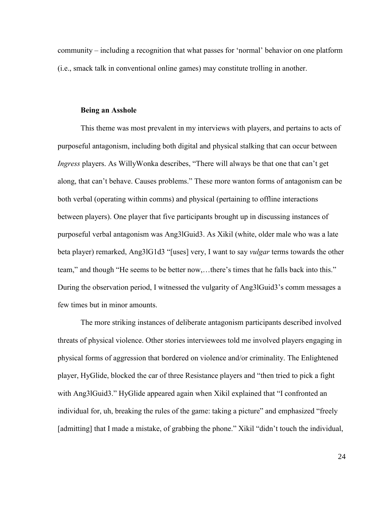community – including a recognition that what passes for 'normal' behavior on one platform (i.e., smack talk in conventional online games) may constitute trolling in another.

### **Being an Asshole**

<span id="page-28-0"></span>This theme was most prevalent in my interviews with players, and pertains to acts of purposeful antagonism, including both digital and physical stalking that can occur between *Ingress* players. As WillyWonka describes, "There will always be that one that can't get along, that can't behave. Causes problems." These more wanton forms of antagonism can be both verbal (operating within comms) and physical (pertaining to offline interactions between players). One player that five participants brought up in discussing instances of purposeful verbal antagonism was Ang3lGuid3. As Xikil (white, older male who was a late beta player) remarked, Ang3lG1d3 "[uses] very, I want to say *vulgar* terms towards the other team," and though "He seems to be better now,…there's times that he falls back into this." During the observation period, I witnessed the vulgarity of Ang3lGuid3's comm messages a few times but in minor amounts.

The more striking instances of deliberate antagonism participants described involved threats of physical violence. Other stories interviewees told me involved players engaging in physical forms of aggression that bordered on violence and/or criminality. The Enlightened player, HyGlide, blocked the car of three Resistance players and "then tried to pick a fight with Ang3lGuid3." HyGlide appeared again when Xikil explained that "I confronted an individual for, uh, breaking the rules of the game: taking a picture" and emphasized "freely [admitting] that I made a mistake, of grabbing the phone." Xikil "didn't touch the individual,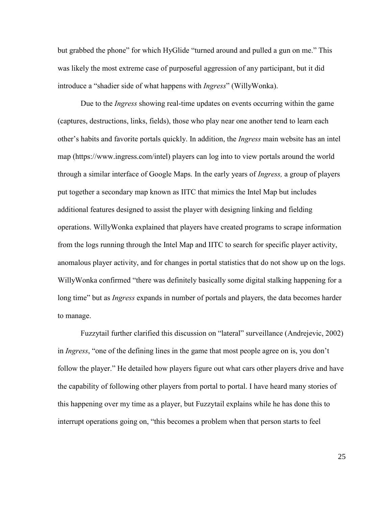but grabbed the phone" for which HyGlide "turned around and pulled a gun on me." This was likely the most extreme case of purposeful aggression of any participant, but it did introduce a "shadier side of what happens with *Ingress*" (WillyWonka).

Due to the *Ingress* showing real-time updates on events occurring within the game (captures, destructions, links, fields), those who play near one another tend to learn each other's habits and favorite portals quickly. In addition, the *Ingress* main website has an intel map (https://www.ingress.com/intel) players can log into to view portals around the world through a similar interface of Google Maps. In the early years of *Ingress,* a group of players put together a secondary map known as IITC that mimics the Intel Map but includes additional features designed to assist the player with designing linking and fielding operations. WillyWonka explained that players have created programs to scrape information from the logs running through the Intel Map and IITC to search for specific player activity, anomalous player activity, and for changes in portal statistics that do not show up on the logs. WillyWonka confirmed "there was definitely basically some digital stalking happening for a long time" but as *Ingress* expands in number of portals and players, the data becomes harder to manage.

Fuzzytail further clarified this discussion on "lateral" surveillance (Andrejevic, 2002) in *Ingress*, "one of the defining lines in the game that most people agree on is, you don't follow the player." He detailed how players figure out what cars other players drive and have the capability of following other players from portal to portal. I have heard many stories of this happening over my time as a player, but Fuzzytail explains while he has done this to interrupt operations going on, "this becomes a problem when that person starts to feel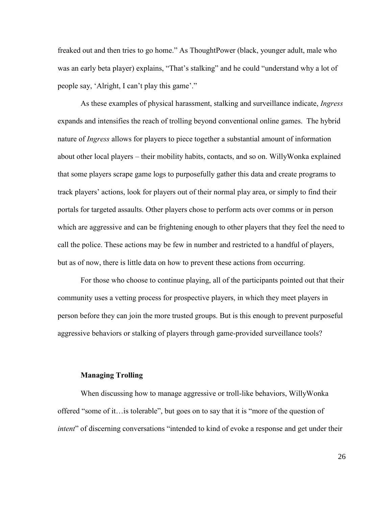freaked out and then tries to go home." As ThoughtPower (black, younger adult, male who was an early beta player) explains, "That's stalking" and he could "understand why a lot of people say, 'Alright, I can't play this game'."

As these examples of physical harassment, stalking and surveillance indicate, *Ingress*  expands and intensifies the reach of trolling beyond conventional online games. The hybrid nature of *Ingress* allows for players to piece together a substantial amount of information about other local players – their mobility habits, contacts, and so on. WillyWonka explained that some players scrape game logs to purposefully gather this data and create programs to track players' actions, look for players out of their normal play area, or simply to find their portals for targeted assaults. Other players chose to perform acts over comms or in person which are aggressive and can be frightening enough to other players that they feel the need to call the police. These actions may be few in number and restricted to a handful of players, but as of now, there is little data on how to prevent these actions from occurring.

For those who choose to continue playing, all of the participants pointed out that their community uses a vetting process for prospective players, in which they meet players in person before they can join the more trusted groups. But is this enough to prevent purposeful aggressive behaviors or stalking of players through game-provided surveillance tools?

#### **Managing Trolling**

<span id="page-30-0"></span>When discussing how to manage aggressive or troll-like behaviors, WillyWonka offered "some of it…is tolerable", but goes on to say that it is "more of the question of *intent*" of discerning conversations "intended to kind of evoke a response and get under their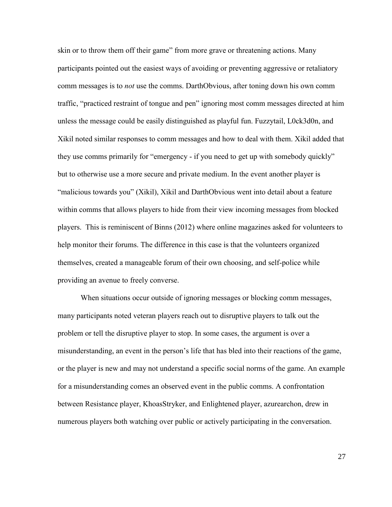skin or to throw them off their game" from more grave or threatening actions. Many participants pointed out the easiest ways of avoiding or preventing aggressive or retaliatory comm messages is to *not* use the comms. DarthObvious, after toning down his own comm traffic, "practiced restraint of tongue and pen" ignoring most comm messages directed at him unless the message could be easily distinguished as playful fun. Fuzzytail, L0ck3d0n, and Xikil noted similar responses to comm messages and how to deal with them. Xikil added that they use comms primarily for "emergency - if you need to get up with somebody quickly" but to otherwise use a more secure and private medium. In the event another player is "malicious towards you" (Xikil), Xikil and DarthObvious went into detail about a feature within comms that allows players to hide from their view incoming messages from blocked players. This is reminiscent of Binns (2012) where online magazines asked for volunteers to help monitor their forums. The difference in this case is that the volunteers organized themselves, created a manageable forum of their own choosing, and self-police while providing an avenue to freely converse.

When situations occur outside of ignoring messages or blocking comm messages, many participants noted veteran players reach out to disruptive players to talk out the problem or tell the disruptive player to stop. In some cases, the argument is over a misunderstanding, an event in the person's life that has bled into their reactions of the game, or the player is new and may not understand a specific social norms of the game. An example for a misunderstanding comes an observed event in the public comms. A confrontation between Resistance player, KhoasStryker, and Enlightened player, azurearchon, drew in numerous players both watching over public or actively participating in the conversation.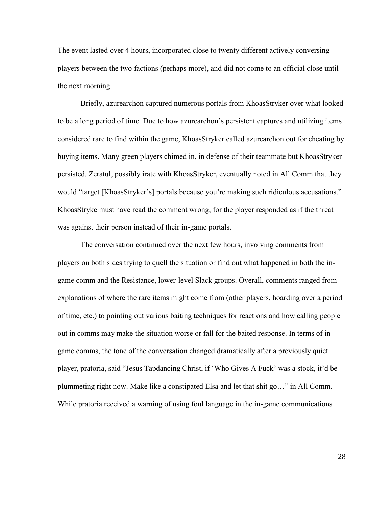The event lasted over 4 hours, incorporated close to twenty different actively conversing players between the two factions (perhaps more), and did not come to an official close until the next morning.

Briefly, azurearchon captured numerous portals from KhoasStryker over what looked to be a long period of time. Due to how azurearchon's persistent captures and utilizing items considered rare to find within the game, KhoasStryker called azurearchon out for cheating by buying items. Many green players chimed in, in defense of their teammate but KhoasStryker persisted. Zeratul, possibly irate with KhoasStryker, eventually noted in All Comm that they would "target [KhoasStryker's] portals because you're making such ridiculous accusations." KhoasStryke must have read the comment wrong, for the player responded as if the threat was against their person instead of their in-game portals.

The conversation continued over the next few hours, involving comments from players on both sides trying to quell the situation or find out what happened in both the ingame comm and the Resistance, lower-level Slack groups. Overall, comments ranged from explanations of where the rare items might come from (other players, hoarding over a period of time, etc.) to pointing out various baiting techniques for reactions and how calling people out in comms may make the situation worse or fall for the baited response. In terms of ingame comms, the tone of the conversation changed dramatically after a previously quiet player, pratoria, said "Jesus Tapdancing Christ, if 'Who Gives A Fuck' was a stock, it'd be plummeting right now. Make like a constipated Elsa and let that shit go…" in All Comm. While pratoria received a warning of using foul language in the in-game communications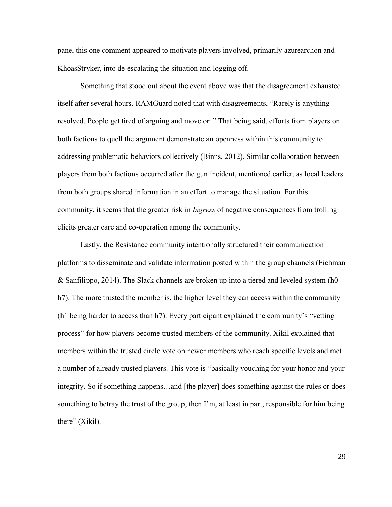pane, this one comment appeared to motivate players involved, primarily azurearchon and KhoasStryker, into de-escalating the situation and logging off.

Something that stood out about the event above was that the disagreement exhausted itself after several hours. RAMGuard noted that with disagreements, "Rarely is anything resolved. People get tired of arguing and move on." That being said, efforts from players on both factions to quell the argument demonstrate an openness within this community to addressing problematic behaviors collectively (Binns, 2012). Similar collaboration between players from both factions occurred after the gun incident, mentioned earlier, as local leaders from both groups shared information in an effort to manage the situation. For this community, it seems that the greater risk in *Ingress* of negative consequences from trolling elicits greater care and co-operation among the community.

Lastly, the Resistance community intentionally structured their communication platforms to disseminate and validate information posted within the group channels (Fichman & Sanfilippo, 2014). The Slack channels are broken up into a tiered and leveled system (h0 h7). The more trusted the member is, the higher level they can access within the community (h1 being harder to access than h7). Every participant explained the community's "vetting process" for how players become trusted members of the community. Xikil explained that members within the trusted circle vote on newer members who reach specific levels and met a number of already trusted players. This vote is "basically vouching for your honor and your integrity. So if something happens…and [the player] does something against the rules or does something to betray the trust of the group, then I'm, at least in part, responsible for him being there" (Xikil).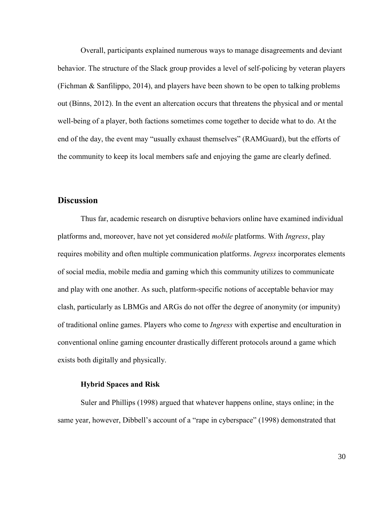Overall, participants explained numerous ways to manage disagreements and deviant behavior. The structure of the Slack group provides a level of self-policing by veteran players (Fichman  $\&$  Sanfilippo, 2014), and players have been shown to be open to talking problems out (Binns, 2012). In the event an altercation occurs that threatens the physical and or mental well-being of a player, both factions sometimes come together to decide what to do. At the end of the day, the event may "usually exhaust themselves" (RAMGuard), but the efforts of the community to keep its local members safe and enjoying the game are clearly defined.

# <span id="page-34-0"></span>**Discussion**

Thus far, academic research on disruptive behaviors online have examined individual platforms and, moreover, have not yet considered *mobile* platforms. With *Ingress*, play requires mobility and often multiple communication platforms. *Ingress* incorporates elements of social media, mobile media and gaming which this community utilizes to communicate and play with one another. As such, platform-specific notions of acceptable behavior may clash, particularly as LBMGs and ARGs do not offer the degree of anonymity (or impunity) of traditional online games. Players who come to *Ingress* with expertise and enculturation in conventional online gaming encounter drastically different protocols around a game which exists both digitally and physically.

### **Hybrid Spaces and Risk**

<span id="page-34-1"></span>Suler and Phillips (1998) argued that whatever happens online, stays online; in the same year, however, Dibbell's account of a "rape in cyberspace" (1998) demonstrated that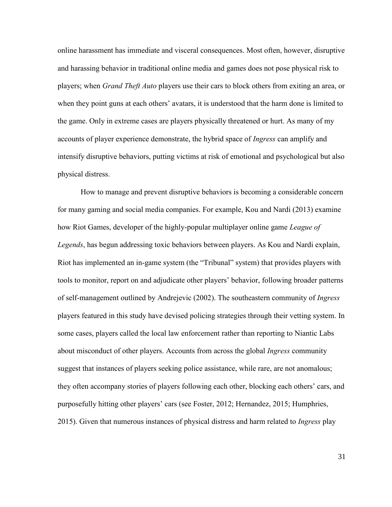online harassment has immediate and visceral consequences. Most often, however, disruptive and harassing behavior in traditional online media and games does not pose physical risk to players; when *Grand Theft Auto* players use their cars to block others from exiting an area, or when they point guns at each others' avatars, it is understood that the harm done is limited to the game. Only in extreme cases are players physically threatened or hurt. As many of my accounts of player experience demonstrate, the hybrid space of *Ingress* can amplify and intensify disruptive behaviors, putting victims at risk of emotional and psychological but also physical distress.

How to manage and prevent disruptive behaviors is becoming a considerable concern for many gaming and social media companies. For example, Kou and Nardi (2013) examine how Riot Games, developer of the highly-popular multiplayer online game *League of Legends*, has begun addressing toxic behaviors between players. As Kou and Nardi explain, Riot has implemented an in-game system (the "Tribunal" system) that provides players with tools to monitor, report on and adjudicate other players' behavior, following broader patterns of self-management outlined by Andrejevic (2002). The southeastern community of *Ingress*  players featured in this study have devised policing strategies through their vetting system. In some cases, players called the local law enforcement rather than reporting to Niantic Labs about misconduct of other players. Accounts from across the global *Ingress* community suggest that instances of players seeking police assistance, while rare, are not anomalous; they often accompany stories of players following each other, blocking each others' cars, and purposefully hitting other players' cars (see Foster, 2012; Hernandez, 2015; Humphries, 2015). Given that numerous instances of physical distress and harm related to *Ingress* play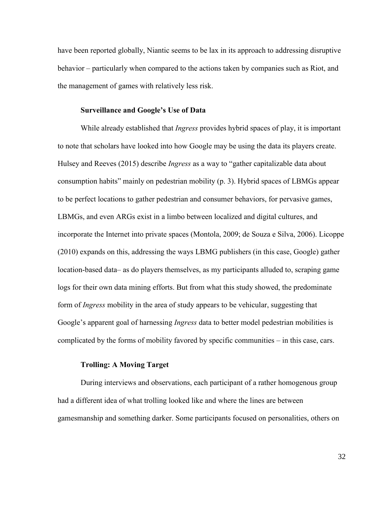have been reported globally, Niantic seems to be lax in its approach to addressing disruptive behavior – particularly when compared to the actions taken by companies such as Riot, and the management of games with relatively less risk.

### **Surveillance and Google's Use of Data**

<span id="page-36-0"></span>While already established that *Ingress* provides hybrid spaces of play, it is important to note that scholars have looked into how Google may be using the data its players create. Hulsey and Reeves (2015) describe *Ingress* as a way to "gather capitalizable data about consumption habits" mainly on pedestrian mobility (p. 3). Hybrid spaces of LBMGs appear to be perfect locations to gather pedestrian and consumer behaviors, for pervasive games, LBMGs, and even ARGs exist in a limbo between localized and digital cultures, and incorporate the Internet into private spaces (Montola, 2009; de Souza e Silva, 2006). Licoppe (2010) expands on this, addressing the ways LBMG publishers (in this case, Google) gather location-based data– as do players themselves, as my participants alluded to, scraping game logs for their own data mining efforts. But from what this study showed, the predominate form of *Ingress* mobility in the area of study appears to be vehicular, suggesting that Google's apparent goal of harnessing *Ingress* data to better model pedestrian mobilities is complicated by the forms of mobility favored by specific communities – in this case, cars.

#### **Trolling: A Moving Target**

<span id="page-36-1"></span>During interviews and observations, each participant of a rather homogenous group had a different idea of what trolling looked like and where the lines are between gamesmanship and something darker. Some participants focused on personalities, others on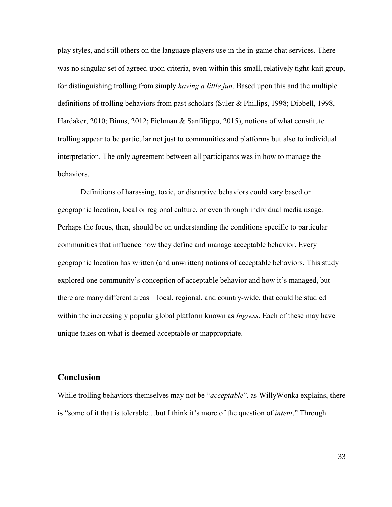play styles, and still others on the language players use in the in-game chat services. There was no singular set of agreed-upon criteria, even within this small, relatively tight-knit group, for distinguishing trolling from simply *having a little fun*. Based upon this and the multiple definitions of trolling behaviors from past scholars (Suler & Phillips, 1998; Dibbell, 1998, Hardaker, 2010; Binns, 2012; Fichman & Sanfilippo, 2015), notions of what constitute trolling appear to be particular not just to communities and platforms but also to individual interpretation. The only agreement between all participants was in how to manage the behaviors.

Definitions of harassing, toxic, or disruptive behaviors could vary based on geographic location, local or regional culture, or even through individual media usage. Perhaps the focus, then, should be on understanding the conditions specific to particular communities that influence how they define and manage acceptable behavior. Every geographic location has written (and unwritten) notions of acceptable behaviors. This study explored one community's conception of acceptable behavior and how it's managed, but there are many different areas – local, regional, and country-wide, that could be studied within the increasingly popular global platform known as *Ingress*. Each of these may have unique takes on what is deemed acceptable or inappropriate.

# <span id="page-37-0"></span>**Conclusion**

While trolling behaviors themselves may not be "*acceptable*", as WillyWonka explains, there is "some of it that is tolerable…but I think it's more of the question of *intent*." Through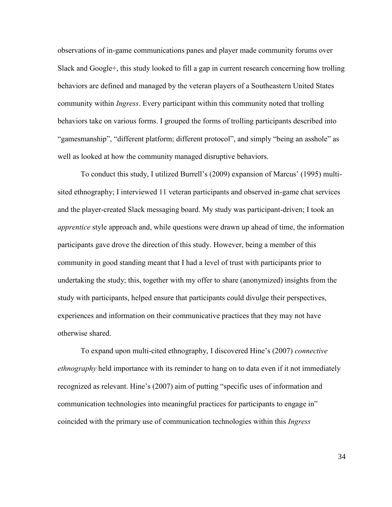observations of in-game communications panes and player made community forums over Slack and Google+, this study looked to fill a gap in current research concerning how trolling behaviors are defined and managed by the veteran players of a Southeastern United States community within *Ingress*. Every participant within this community noted that trolling behaviors take on various forms. I grouped the forms of trolling participants described into "gamesmanship", "different platform; different protocol", and simply "being an asshole" as well as looked at how the community managed disruptive behaviors.

To conduct this study, I utilized Burrell's (2009) expansion of Marcus' (1995) multisited ethnography; I interviewed 11 veteran participants and observed in-game chat services and the player-created Slack messaging board. My study was participant-driven; I took an *apprentice* style approach and, while questions were drawn up ahead of time, the information participants gave drove the direction of this study. However, being a member of this community in good standing meant that I had a level of trust with participants prior to undertaking the study; this, together with my offer to share (anonymized) insights from the study with participants, helped ensure that participants could divulge their perspectives, experiences and information on their communicative practices that they may not have otherwise shared.

To expand upon multi-cited ethnography, I discovered Hine's (2007) *connective ethnography* held importance with its reminder to hang on to data even if it not immediately recognized as relevant. Hine's (2007) aim of putting "specific uses of information and communication technologies into meaningful practices for participants to engage in" coincided with the primary use of communication technologies within this *Ingress*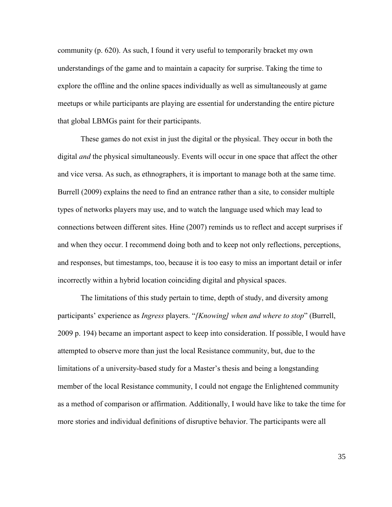community (p. 620). As such, I found it very useful to temporarily bracket my own understandings of the game and to maintain a capacity for surprise. Taking the time to explore the offline and the online spaces individually as well as simultaneously at game meetups or while participants are playing are essential for understanding the entire picture that global LBMGs paint for their participants.

These games do not exist in just the digital or the physical. They occur in both the digital *and* the physical simultaneously. Events will occur in one space that affect the other and vice versa. As such, as ethnographers, it is important to manage both at the same time. Burrell (2009) explains the need to find an entrance rather than a site, to consider multiple types of networks players may use, and to watch the language used which may lead to connections between different sites. Hine (2007) reminds us to reflect and accept surprises if and when they occur. I recommend doing both and to keep not only reflections, perceptions, and responses, but timestamps, too, because it is too easy to miss an important detail or infer incorrectly within a hybrid location coinciding digital and physical spaces.

The limitations of this study pertain to time, depth of study, and diversity among participants' experience as *Ingress* players. "*[Knowing] when and where to stop*" (Burrell, 2009 p. 194) became an important aspect to keep into consideration. If possible, I would have attempted to observe more than just the local Resistance community, but, due to the limitations of a university-based study for a Master's thesis and being a longstanding member of the local Resistance community, I could not engage the Enlightened community as a method of comparison or affirmation. Additionally, I would have like to take the time for more stories and individual definitions of disruptive behavior. The participants were all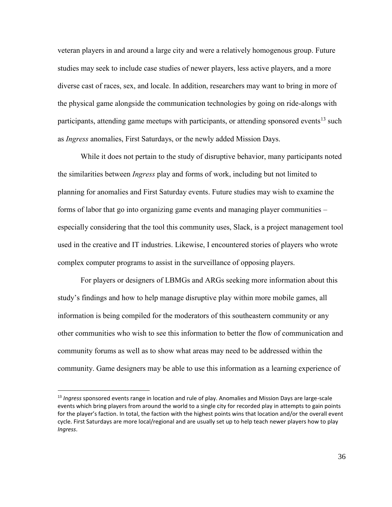veteran players in and around a large city and were a relatively homogenous group. Future studies may seek to include case studies of newer players, less active players, and a more diverse cast of races, sex, and locale. In addition, researchers may want to bring in more of the physical game alongside the communication technologies by going on ride-alongs with participants, attending game meetups with participants, or attending sponsored events<sup>13</sup> such as *Ingress* anomalies, First Saturdays, or the newly added Mission Days.

While it does not pertain to the study of disruptive behavior, many participants noted the similarities between *Ingress* play and forms of work, including but not limited to planning for anomalies and First Saturday events. Future studies may wish to examine the forms of labor that go into organizing game events and managing player communities – especially considering that the tool this community uses, Slack, is a project management tool used in the creative and IT industries. Likewise, I encountered stories of players who wrote complex computer programs to assist in the surveillance of opposing players.

For players or designers of LBMGs and ARGs seeking more information about this study's findings and how to help manage disruptive play within more mobile games, all information is being compiled for the moderators of this southeastern community or any other communities who wish to see this information to better the flow of communication and community forums as well as to show what areas may need to be addressed within the community. Game designers may be able to use this information as a learning experience of

 $\overline{a}$ 

<sup>13</sup> *Ingress* sponsored events range in location and rule of play. Anomalies and Mission Days are large-scale events which bring players from around the world to a single city for recorded play in attempts to gain points for the player's faction. In total, the faction with the highest points wins that location and/or the overall event cycle. First Saturdays are more local/regional and are usually set up to help teach newer players how to play *Ingress*.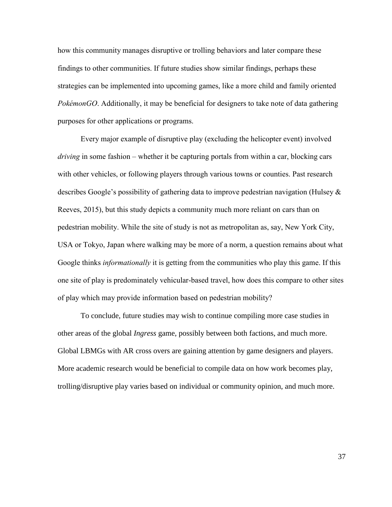how this community manages disruptive or trolling behaviors and later compare these findings to other communities. If future studies show similar findings, perhaps these strategies can be implemented into upcoming games, like a more child and family oriented *PokémonGO*. Additionally, it may be beneficial for designers to take note of data gathering purposes for other applications or programs.

Every major example of disruptive play (excluding the helicopter event) involved *driving* in some fashion – whether it be capturing portals from within a car, blocking cars with other vehicles, or following players through various towns or counties. Past research describes Google's possibility of gathering data to improve pedestrian navigation (Hulsey & Reeves, 2015), but this study depicts a community much more reliant on cars than on pedestrian mobility. While the site of study is not as metropolitan as, say, New York City, USA or Tokyo, Japan where walking may be more of a norm, a question remains about what Google thinks *informationally* it is getting from the communities who play this game. If this one site of play is predominately vehicular-based travel, how does this compare to other sites of play which may provide information based on pedestrian mobility?

To conclude, future studies may wish to continue compiling more case studies in other areas of the global *Ingress* game, possibly between both factions, and much more. Global LBMGs with AR cross overs are gaining attention by game designers and players. More academic research would be beneficial to compile data on how work becomes play, trolling/disruptive play varies based on individual or community opinion, and much more.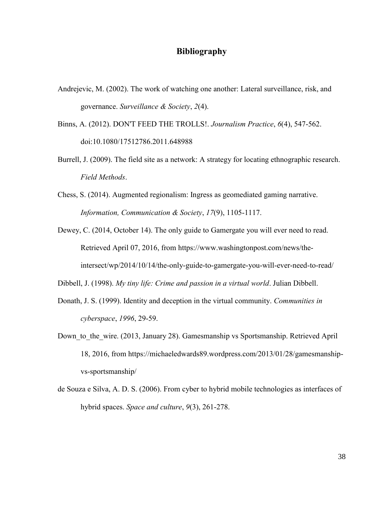# <span id="page-42-0"></span>**Bibliography**

- Andrejevic, M. (2002). The work of watching one another: Lateral surveillance, risk, and governance. *Surveillance & Society*, *2*(4).
- Binns, A. (2012). DON'T FEED THE TROLLS!. *Journalism Practice*, *6*(4), 547-562. doi:10.1080/17512786.2011.648988
- Burrell, J. (2009). The field site as a network: A strategy for locating ethnographic research. *Field Methods*.
- Chess, S. (2014). Augmented regionalism: Ingress as geomediated gaming narrative. *Information, Communication & Society*, *17*(9), 1105-1117.

Dewey, C. (2014, October 14). The only guide to Gamergate you will ever need to read. Retrieved April 07, 2016, from https://www.washingtonpost.com/news/theintersect/wp/2014/10/14/the-only-guide-to-gamergate-you-will-ever-need-to-read/

Dibbell, J. (1998). *My tiny life: Crime and passion in a virtual world*. Julian Dibbell.

- Donath, J. S. (1999). Identity and deception in the virtual community. *Communities in cyberspace*, *1996*, 29-59.
- Down to the wire. (2013, January 28). Gamesmanship vs Sportsmanship. Retrieved April 18, 2016, from https://michaeledwards89.wordpress.com/2013/01/28/gamesmanshipvs-sportsmanship/
- de Souza e Silva, A. D. S. (2006). From cyber to hybrid mobile technologies as interfaces of hybrid spaces. *Space and culture*, *9*(3), 261-278.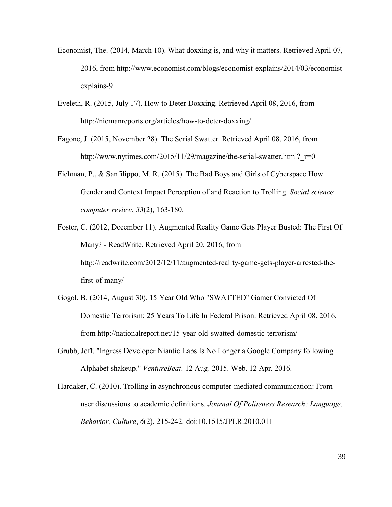- Economist, The. (2014, March 10). What doxxing is, and why it matters. Retrieved April 07, 2016, from http://www.economist.com/blogs/economist-explains/2014/03/economistexplains-9
- Eveleth, R. (2015, July 17). How to Deter Doxxing. Retrieved April 08, 2016, from http://niemanreports.org/articles/how-to-deter-doxxing/
- Fagone, J. (2015, November 28). The Serial Swatter. Retrieved April 08, 2016, from http://www.nytimes.com/2015/11/29/magazine/the-serial-swatter.html? $r=0$
- Fichman, P., & Sanfilippo, M. R. (2015). The Bad Boys and Girls of Cyberspace How Gender and Context Impact Perception of and Reaction to Trolling. *Social science computer review*, *33*(2), 163-180.
- Foster, C. (2012, December 11). Augmented Reality Game Gets Player Busted: The First Of Many? - ReadWrite. Retrieved April 20, 2016, from http://readwrite.com/2012/12/11/augmented-reality-game-gets-player-arrested-thefirst-of-many/
- Gogol, B. (2014, August 30). 15 Year Old Who "SWATTED" Gamer Convicted Of Domestic Terrorism; 25 Years To Life In Federal Prison. Retrieved April 08, 2016, from http://nationalreport.net/15-year-old-swatted-domestic-terrorism/
- Grubb, Jeff. "Ingress Developer Niantic Labs Is No Longer a Google Company following Alphabet shakeup." *VentureBeat*. 12 Aug. 2015. Web. 12 Apr. 2016.
- Hardaker, C. (2010). Trolling in asynchronous computer-mediated communication: From user discussions to academic definitions. *Journal Of Politeness Research: Language, Behavior, Culture*, *6*(2), 215-242. doi:10.1515/JPLR.2010.011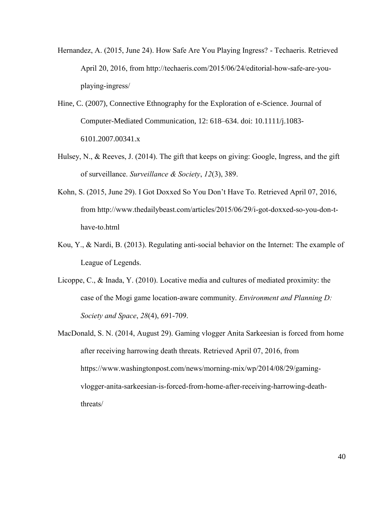- Hernandez, A. (2015, June 24). How Safe Are You Playing Ingress? Techaeris. Retrieved April 20, 2016, from http://techaeris.com/2015/06/24/editorial-how-safe-are-youplaying-ingress/
- Hine, C. (2007), Connective Ethnography for the Exploration of e-Science. Journal of Computer-Mediated Communication, 12: 618–634. doi: 10.1111/j.1083- 6101.2007.00341.x
- Hulsey, N., & Reeves, J. (2014). The gift that keeps on giving: Google, Ingress, and the gift of surveillance. *Surveillance & Society*, *12*(3), 389.
- Kohn, S. (2015, June 29). I Got Doxxed So You Don't Have To. Retrieved April 07, 2016, from http://www.thedailybeast.com/articles/2015/06/29/i-got-doxxed-so-you-don-thave-to.html
- Kou, Y., & Nardi, B. (2013). Regulating anti-social behavior on the Internet: The example of League of Legends.
- Licoppe, C., & Inada, Y. (2010). Locative media and cultures of mediated proximity: the case of the Mogi game location-aware community. *Environment and Planning D: Society and Space*, *28*(4), 691-709.
- MacDonald, S. N. (2014, August 29). Gaming vlogger Anita Sarkeesian is forced from home after receiving harrowing death threats. Retrieved April 07, 2016, from https://www.washingtonpost.com/news/morning-mix/wp/2014/08/29/gamingvlogger-anita-sarkeesian-is-forced-from-home-after-receiving-harrowing-deaththreats/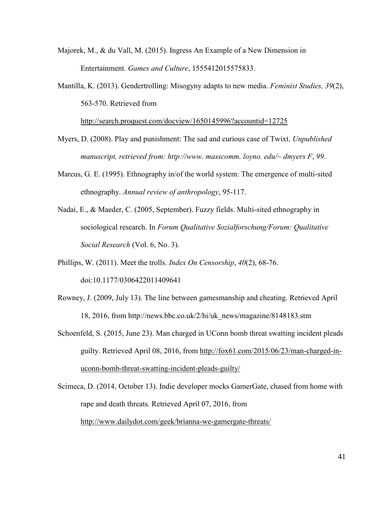- Majorek, M., & du Vall, M. (2015). Ingress An Example of a New Dimension in Entertainment. *Games and Culture*, 1555412015575833.
- Mantilla, K. (2013). Gendertrolling: Misogyny adapts to new media. *Feminist Studies, 39*(2), 563-570. Retrieved from

<http://search.proquest.com/docview/1650145996?accountid=12725>

- Myers, D. (2008). Play and punishment: The sad and curious case of Twixt. *Unpublished manuscript, retrieved from: http://www. masscomm. loyno. edu/~ dmyers F*, *99*.
- Marcus, G. E. (1995). Ethnography in/of the world system: The emergence of multi-sited ethnography. *Annual review of anthropology*, 95-117.
- Nadai, E., & Maeder, C. (2005, September). Fuzzy fields. Multi-sited ethnography in sociological research. In *Forum Qualitative Sozialforschung/Forum: Qualitative Social Research* (Vol. 6, No. 3).
- Phillips, W. (2011). Meet the trolls. *Index On Censorship*, *40*(2), 68-76. doi:10.1177/0306422011409641
- Rowney, J. (2009, July 13). The line between gamesmanship and cheating. Retrieved April 18, 2016, from http://news.bbc.co.uk/2/hi/uk\_news/magazine/8148183.stm
- Schoenfeld, S. (2015, June 23). Man charged in UConn bomb threat swatting incident pleads guilty. Retrieved April 08, 2016, from [http://fox61.com/2015/06/23/man-charged-in](http://fox61.com/2015/06/23/man-charged-in-uconn-bomb-threat-swatting-incident-pleads-guilty/)[uconn-bomb-threat-swatting-incident-pleads-guilty/](http://fox61.com/2015/06/23/man-charged-in-uconn-bomb-threat-swatting-incident-pleads-guilty/)
- Scimeca, D. (2014, October 13). Indie developer mocks GamerGate, chased from home with rape and death threats. Retrieved April 07, 2016, from <http://www.dailydot.com/geek/brianna-we-gamergate-threats/>